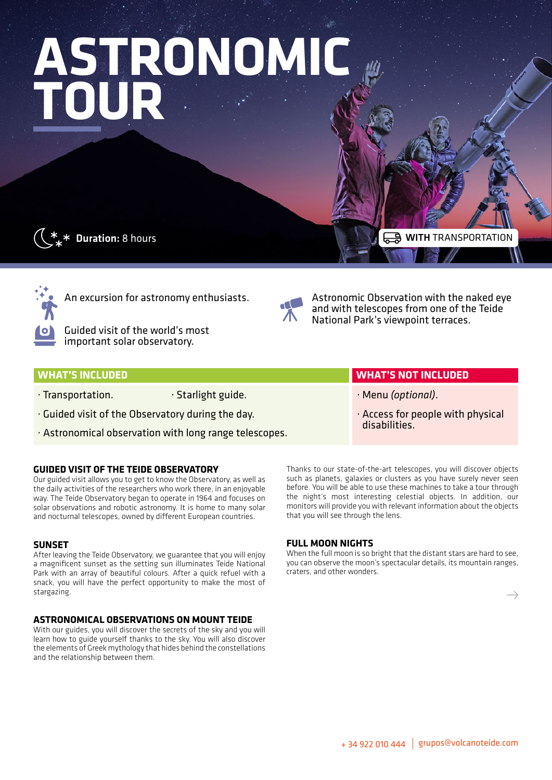# **ASTRONOMIC TOUR**



 $\overline{\ast}$  Duration: 8 hours

WITH TRANSPORTA



An excursion for astronomy enthusiasts.

Guided visit of the world's most important solar observatory.



Astronomic Observation with the naked eye and with telescopes from one of the Teide National Park's viewpoint terraces.

### **WHAT'S INCLUDED WHAT'S NOT INCLUDED**

- · Transportation. **· Starlight guide.**
- · Guided visit of the Observatory during the day.
- · Astronomical observation with long range telescopes.

#### **GUIDED VISIT OF THE TEIDE OBSERVATORY**

Our guided visit allows you to get to know the Observatory, as well as the daily activities of the researchers who work there, in an enjoyable way. The Teide Observatory began to operate in 1964 and focuses on solar observations and robotic astronomy. It is home to many solar and nocturnal telescopes, owned by different European countries.

#### **SUNSET**

After leaving the Teide Observatory, we guarantee that you will enjoy a magnificent sunset as the setting sun illuminates Teide National Park with an array of beautiful colours. After a quick refuel with a snack, you will have the perfect opportunity to make the most of stargazing.

#### **ASTRONOMICAL OBSERVATIONS ON MOUNT TEIDE**

With our guides, you will discover the secrets of the sky and you will learn how to guide yourself thanks to the sky. You will also discover the elements of Greek mythology that hides behind the constellations and the relationship between them.

Thanks to our state-of-the-art telescopes, you will discover objects such as planets, galaxies or clusters as you have surely never seen before. You will be able to use these machines to take a tour through the night's most interesting celestial objects. In addition, our monitors will provide you with relevant information about the objects that you will see through the lens.

· Menu *(optional)*.

disabilities.

· Access for people with physical

#### **FULL MOON NIGHTS**

When the full moon is so bright that the distant stars are hard to see, you can observe the moon's spectacular details, its mountain ranges, craters, and other wonders.

 $\rightarrow$